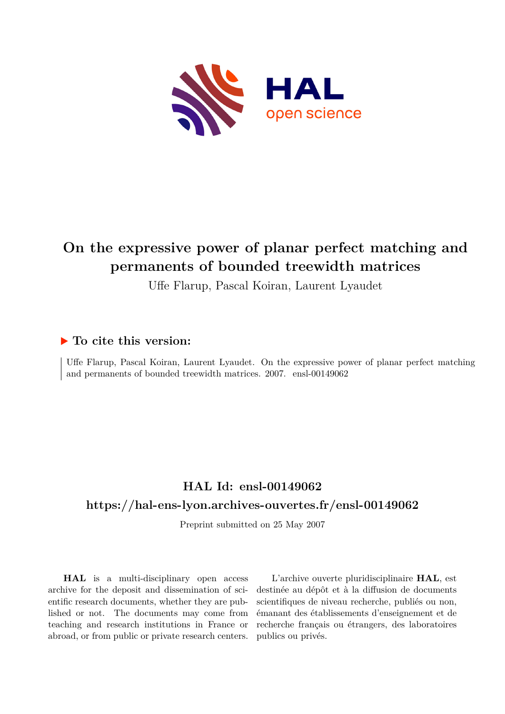

# **On the expressive power of planar perfect matching and permanents of bounded treewidth matrices**

Uffe Flarup, Pascal Koiran, Laurent Lyaudet

## **To cite this version:**

Uffe Flarup, Pascal Koiran, Laurent Lyaudet. On the expressive power of planar perfect matching and permanents of bounded treewidth matrices.  $2007.$  ensl-00149062

## **HAL Id: ensl-00149062 <https://hal-ens-lyon.archives-ouvertes.fr/ensl-00149062>**

Preprint submitted on 25 May 2007

**HAL** is a multi-disciplinary open access archive for the deposit and dissemination of scientific research documents, whether they are published or not. The documents may come from teaching and research institutions in France or abroad, or from public or private research centers.

L'archive ouverte pluridisciplinaire **HAL**, est destinée au dépôt et à la diffusion de documents scientifiques de niveau recherche, publiés ou non, émanant des établissements d'enseignement et de recherche français ou étrangers, des laboratoires publics ou privés.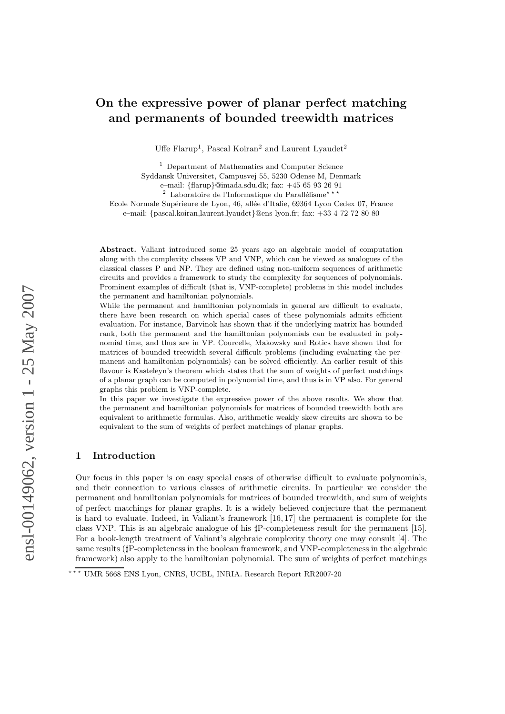### On the expressive power of planar perfect matching and permanents of bounded treewidth matrices

Uffe Flarup<sup>1</sup>, Pascal Koiran<sup>2</sup> and Laurent Lyaudet<sup>2</sup>

<sup>1</sup> Department of Mathematics and Computer Science Syddansk Universitet, Campusvej 55, 5230 Odense M, Denmark

e–mail: {flarup}@imada.sdu.dk; fax: +45 65 93 26 91

<sup>2</sup> Laboratoire de l'Informatique du Parall´elisme⋆ ⋆ ⋆

Ecole Normale Supérieure de Lyon, 46, allée d'Italie, 69364 Lyon Cedex 07, France

e–mail: {pascal.koiran,laurent.lyaudet}@ens-lyon.fr; fax: +33 4 72 72 80 80

Abstract. Valiant introduced some 25 years ago an algebraic model of computation along with the complexity classes VP and VNP, which can be viewed as analogues of the classical classes P and NP. They are defined using non-uniform sequences of arithmetic circuits and provides a framework to study the complexity for sequences of polynomials. Prominent examples of difficult (that is, VNP-complete) problems in this model includes the permanent and hamiltonian polynomials.

While the permanent and hamiltonian polynomials in general are difficult to evaluate, there have been research on which special cases of these polynomials admits efficient evaluation. For instance, Barvinok has shown that if the underlying matrix has bounded rank, both the permanent and the hamiltonian polynomials can be evaluated in polynomial time, and thus are in VP. Courcelle, Makowsky and Rotics have shown that for matrices of bounded treewidth several difficult problems (including evaluating the permanent and hamiltonian polynomials) can be solved efficiently. An earlier result of this flavour is Kasteleyn's theorem which states that the sum of weights of perfect matchings of a planar graph can be computed in polynomial time, and thus is in VP also. For general graphs this problem is VNP-complete.

In this paper we investigate the expressive power of the above results. We show that the permanent and hamiltonian polynomials for matrices of bounded treewidth both are equivalent to arithmetic formulas. Also, arithmetic weakly skew circuits are shown to be equivalent to the sum of weights of perfect matchings of planar graphs.

#### 1 Introduction

Our focus in this paper is on easy special cases of otherwise difficult to evaluate polynomials, and their connection to various classes of arithmetic circuits. In particular we consider the permanent and hamiltonian polynomials for matrices of bounded treewidth, and sum of weights of perfect matchings for planar graphs. It is a widely believed conjecture that the permanent is hard to evaluate. Indeed, in Valiant's framework [16, 17] the permanent is complete for the class VNP. This is an algebraic analogue of his ♯P-completeness result for the permanent [15]. For a book-length treatment of Valiant's algebraic complexity theory one may consult [4]. The same results ( $\sharp$ P-completeness in the boolean framework, and VNP-completeness in the algebraic framework) also apply to the hamiltonian polynomial. The sum of weights of perfect matchings

<sup>\*\*\*</sup> UMR 5668 ENS Lyon, CNRS, UCBL, INRIA. Research Report RR2007-20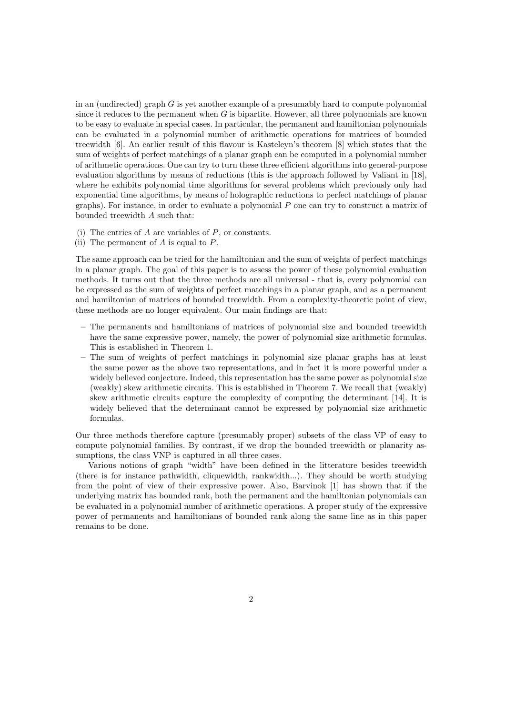in an (undirected) graph  $G$  is yet another example of a presumably hard to compute polynomial since it reduces to the permanent when  $G$  is bipartite. However, all three polynomials are known to be easy to evaluate in special cases. In particular, the permanent and hamiltonian polynomials can be evaluated in a polynomial number of arithmetic operations for matrices of bounded treewidth [6]. An earlier result of this flavour is Kasteleyn's theorem [8] which states that the sum of weights of perfect matchings of a planar graph can be computed in a polynomial number of arithmetic operations. One can try to turn these three efficient algorithms into general-purpose evaluation algorithms by means of reductions (this is the approach followed by Valiant in [18], where he exhibits polynomial time algorithms for several problems which previously only had exponential time algorithms, by means of holographic reductions to perfect matchings of planar graphs). For instance, in order to evaluate a polynomial  $P$  one can try to construct a matrix of bounded treewidth A such that:

- (i) The entries of  $A$  are variables of  $P$ , or constants.
- (ii) The permanent of  $A$  is equal to  $P$ .

The same approach can be tried for the hamiltonian and the sum of weights of perfect matchings in a planar graph. The goal of this paper is to assess the power of these polynomial evaluation methods. It turns out that the three methods are all universal - that is, every polynomial can be expressed as the sum of weights of perfect matchings in a planar graph, and as a permanent and hamiltonian of matrices of bounded treewidth. From a complexity-theoretic point of view, these methods are no longer equivalent. Our main findings are that:

- The permanents and hamiltonians of matrices of polynomial size and bounded treewidth have the same expressive power, namely, the power of polynomial size arithmetic formulas. This is established in Theorem 1.
- The sum of weights of perfect matchings in polynomial size planar graphs has at least the same power as the above two representations, and in fact it is more powerful under a widely believed conjecture. Indeed, this representation has the same power as polynomial size (weakly) skew arithmetic circuits. This is established in Theorem 7. We recall that (weakly) skew arithmetic circuits capture the complexity of computing the determinant [14]. It is widely believed that the determinant cannot be expressed by polynomial size arithmetic formulas.

Our three methods therefore capture (presumably proper) subsets of the class VP of easy to compute polynomial families. By contrast, if we drop the bounded treewidth or planarity assumptions, the class VNP is captured in all three cases.

Various notions of graph "width" have been defined in the litterature besides treewidth (there is for instance pathwidth, cliquewidth, rankwidth...). They should be worth studying from the point of view of their expressive power. Also, Barvinok [1] has shown that if the underlying matrix has bounded rank, both the permanent and the hamiltonian polynomials can be evaluated in a polynomial number of arithmetic operations. A proper study of the expressive power of permanents and hamiltonians of bounded rank along the same line as in this paper remains to be done.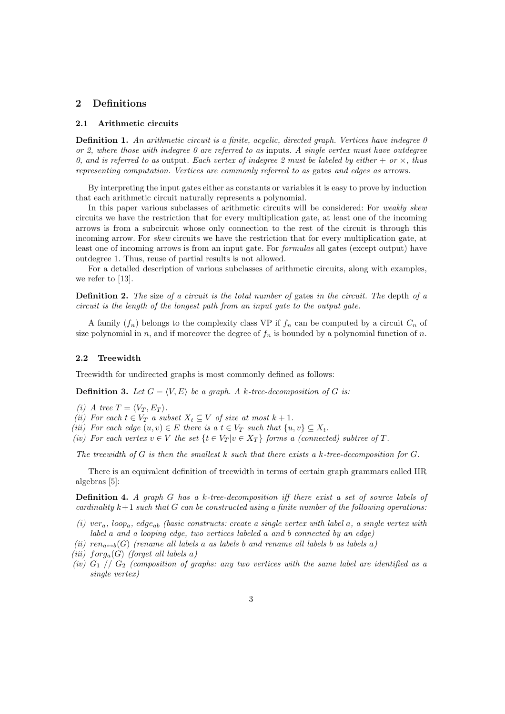#### 2 Definitions

#### 2.1 Arithmetic circuits

**Definition 1.** An arithmetic circuit is a finite, acyclic, directed graph. Vertices have indegree  $\theta$ or 2, where those with indegree  $0$  are referred to as inputs. A single vertex must have outdegree 0, and is referred to as output. Each vertex of indegree 2 must be labeled by either  $+ \ or \times$ , thus representing computation. Vertices are commonly referred to as gates and edges as arrows.

By interpreting the input gates either as constants or variables it is easy to prove by induction that each arithmetic circuit naturally represents a polynomial.

In this paper various subclasses of arithmetic circuits will be considered: For *weakly skew* circuits we have the restriction that for every multiplication gate, at least one of the incoming arrows is from a subcircuit whose only connection to the rest of the circuit is through this incoming arrow. For *skew* circuits we have the restriction that for every multiplication gate, at least one of incoming arrows is from an input gate. For formulas all gates (except output) have outdegree 1. Thus, reuse of partial results is not allowed.

For a detailed description of various subclasses of arithmetic circuits, along with examples, we refer to [13].

**Definition 2.** The size of a circuit is the total number of gates in the circuit. The depth of a circuit is the length of the longest path from an input gate to the output gate.

A family  $(f_n)$  belongs to the complexity class VP if  $f_n$  can be computed by a circuit  $C_n$  of size polynomial in n, and if moreover the degree of  $f_n$  is bounded by a polynomial function of n.

#### 2.2 Treewidth

Treewidth for undirected graphs is most commonly defined as follows:

**Definition 3.** Let  $G = \langle V, E \rangle$  be a graph. A k-tree-decomposition of G is:

- (i) A tree  $T = \langle V_T, E_T \rangle$ .
- (ii) For each  $t \in V_T$  a subset  $X_t \subseteq V$  of size at most  $k + 1$ .

(iii) For each edge  $(u, v) \in E$  there is a  $t \in V_T$  such that  $\{u, v\} \subseteq X_t$ .

(iv) For each vertex  $v \in V$  the set  $\{t \in V_T | v \in X_T\}$  forms a (connected) subtree of T.

The treewidth of  $G$  is then the smallest  $k$  such that there exists a  $k$ -tree-decomposition for  $G$ .

There is an equivalent definition of treewidth in terms of certain graph grammars called HR algebras [5]:

Definition 4. A graph G has a k-tree-decomposition iff there exist a set of source labels of cardinality  $k+1$  such that G can be constructed using a finite number of the following operations:

- (i) ver<sub>a</sub>, loop<sub>a</sub>, edge<sub>ab</sub> (basic constructs: create a single vertex with label a, a single vertex with label a and a looping edge, two vertices labeled a and b connected by an edge)
- (ii)  $ren_{a\leftrightarrow b}(G)$  (rename all labels a as labels b and rename all labels b as labels a)
- (iii)  $for q_a(G)$  (forget all labels a)
- (iv)  $G_1$  //  $G_2$  (composition of graphs: any two vertices with the same label are identified as a single vertex)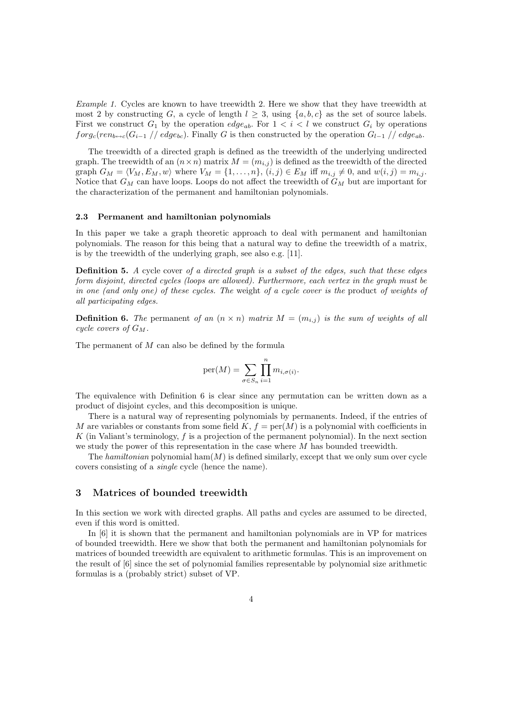Example 1. Cycles are known to have treewidth 2. Here we show that they have treewidth at most 2 by constructing G, a cycle of length  $l \geq 3$ , using  $\{a, b, c\}$  as the set of source labels. First we construct  $G_1$  by the operation  $edge_{ab}$ . For  $1 < i < l$  we construct  $G_i$  by operations  $forg_c(ren_{b\leftrightarrow c}(G_{i-1})/edge_{bc})$ . Finally G is then constructed by the operation  $G_{l-1}/edge_{bc}$ 

The treewidth of a directed graph is defined as the treewidth of the underlying undirected graph. The treewidth of an  $(n \times n)$  matrix  $M = (m_{i,j})$  is defined as the treewidth of the directed graph  $G_M = \langle V_M , E_M , w \rangle$  where  $V_M = \{1, \ldots, n\}, (i, j) \in E_M$  iff  $m_{i,j} \neq 0$ , and  $w(i, j) = m_{i,j}$ . Notice that  $G_M$  can have loops. Loops do not affect the treewidth of  $G_M$  but are important for the characterization of the permanent and hamiltonian polynomials.

#### 2.3 Permanent and hamiltonian polynomials

In this paper we take a graph theoretic approach to deal with permanent and hamiltonian polynomials. The reason for this being that a natural way to define the treewidth of a matrix, is by the treewidth of the underlying graph, see also e.g. [11].

**Definition 5.** A cycle cover of a directed graph is a subset of the edges, such that these edges form disjoint, directed cycles (loops are allowed). Furthermore, each vertex in the graph must be in one (and only one) of these cycles. The weight of a cycle cover is the product of weights of all participating edges.

**Definition 6.** The permanent of an  $(n \times n)$  matrix  $M = (m_{i,j})$  is the sum of weights of all cycle covers of  $G_M$ .

The permanent of M can also be defined by the formula

$$
\text{per}(M) = \sum_{\sigma \in S_n} \prod_{i=1}^n m_{i,\sigma(i)}.
$$

The equivalence with Definition 6 is clear since any permutation can be written down as a product of disjoint cycles, and this decomposition is unique.

There is a natural way of representing polynomials by permanents. Indeed, if the entries of M are variables or constants from some field  $K, f = \text{per}(M)$  is a polynomial with coefficients in  $K$  (in Valiant's terminology,  $f$  is a projection of the permanent polynomial). In the next section we study the power of this representation in the case where M has bounded treewidth.

The hamiltonian polynomial ham $(M)$  is defined similarly, except that we only sum over cycle covers consisting of a single cycle (hence the name).

#### 3 Matrices of bounded treewidth

In this section we work with directed graphs. All paths and cycles are assumed to be directed, even if this word is omitted.

In [6] it is shown that the permanent and hamiltonian polynomials are in VP for matrices of bounded treewidth. Here we show that both the permanent and hamiltonian polynomials for matrices of bounded treewidth are equivalent to arithmetic formulas. This is an improvement on the result of [6] since the set of polynomial families representable by polynomial size arithmetic formulas is a (probably strict) subset of VP.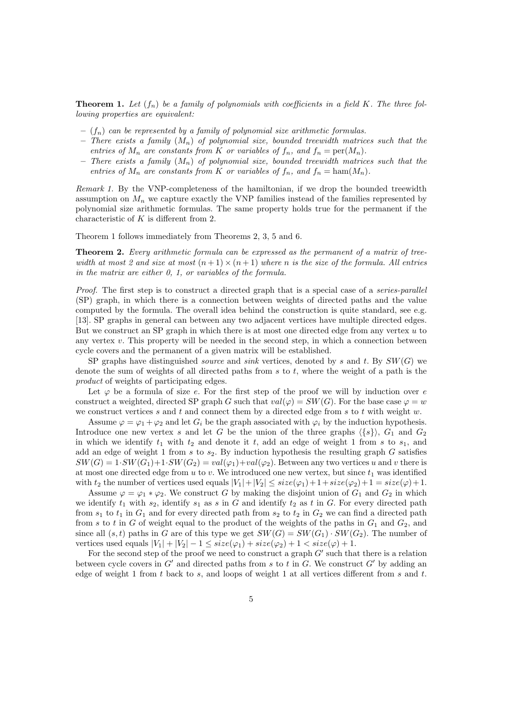**Theorem 1.** Let  $(f_n)$  be a family of polynomials with coefficients in a field K. The three following properties are equivalent:

- $(f_n)$  can be represented by a family of polynomial size arithmetic formulas.
- There exists a family  $(M_n)$  of polynomial size, bounded treewidth matrices such that the entries of  $M_n$  are constants from K or variables of  $f_n$ , and  $f_n = \text{per}(M_n)$ .
- There exists a family  $(M_n)$  of polynomial size, bounded treewidth matrices such that the entries of  $M_n$  are constants from K or variables of  $f_n$ , and  $f_n = \text{ham}(M_n)$ .

Remark 1. By the VNP-completeness of the hamiltonian, if we drop the bounded treewidth assumption on  $M_n$  we capture exactly the VNP families instead of the families represented by polynomial size arithmetic formulas. The same property holds true for the permanent if the characteristic of  $K$  is different from 2.

Theorem 1 follows immediately from Theorems 2, 3, 5 and 6.

Theorem 2. Every arithmetic formula can be expressed as the permanent of a matrix of treewidth at most 2 and size at most  $(n+1) \times (n+1)$  where n is the size of the formula. All entries in the matrix are either 0, 1, or variables of the formula.

Proof. The first step is to construct a directed graph that is a special case of a *series-parallel* (SP) graph, in which there is a connection between weights of directed paths and the value computed by the formula. The overall idea behind the construction is quite standard, see e.g. [13]. SP graphs in general can between any two adjacent vertices have multiple directed edges. But we construct an SP graph in which there is at most one directed edge from any vertex  $u$  to any vertex  $v$ . This property will be needed in the second step, in which a connection between cycle covers and the permanent of a given matrix will be established.

SP graphs have distinguished *source* and *sink* vertices, denoted by s and t. By  $SW(G)$  we denote the sum of weights of all directed paths from  $s$  to  $t$ , where the weight of a path is the product of weights of participating edges.

Let  $\varphi$  be a formula of size e. For the first step of the proof we will by induction over e construct a weighted, directed SP graph G such that  $val(\varphi) = SW(G)$ . For the base case  $\varphi = w$ we construct vertices s and t and connect them by a directed edge from s to t with weight  $w$ .

Assume  $\varphi = \varphi_1 + \varphi_2$  and let  $G_i$  be the graph associated with  $\varphi_i$  by the induction hypothesis. Introduce one new vertex s and let G be the union of the three graphs  $\langle \{s\} \rangle$ ,  $G_1$  and  $G_2$ in which we identify  $t_1$  with  $t_2$  and denote it t, add an edge of weight 1 from s to  $s_1$ , and add an edge of weight 1 from s to  $s_2$ . By induction hypothesis the resulting graph G satisfies  $SW(G) = 1 \cdot SW(G_1) + 1 \cdot SW(G_2) = val(\varphi_1) + val(\varphi_2)$ . Between any two vertices u and v there is at most one directed edge from  $u$  to  $v$ . We introduced one new vertex, but since  $t_1$  was identified with  $t_2$  the number of vertices used equals  $|V_1|+|V_2| \leq size(\varphi_1)+1+size(\varphi_2)+1 = size(\varphi)+1$ .

Assume  $\varphi = \varphi_1 * \varphi_2$ . We construct G by making the disjoint union of  $G_1$  and  $G_2$  in which we identify  $t_1$  with  $s_2$ , identify  $s_1$  as s in G and identify  $t_2$  as t in G. For every directed path from  $s_1$  to  $t_1$  in  $G_1$  and for every directed path from  $s_2$  to  $t_2$  in  $G_2$  we can find a directed path from s to t in G of weight equal to the product of the weights of the paths in  $G_1$  and  $G_2$ , and since all  $(s, t)$  paths in G are of this type we get  $SW(G) = SW(G_1) \cdot SW(G_2)$ . The number of vertices used equals  $|V_1| + |V_2| - 1 \leq size(\varphi_1) + size(\varphi_2) + 1 < size(\varphi) + 1$ .

For the second step of the proof we need to construct a graph  $G'$  such that there is a relation between cycle covers in  $G'$  and directed paths from s to t in G. We construct  $G'$  by adding an edge of weight 1 from t back to s, and loops of weight 1 at all vertices different from s and  $t$ .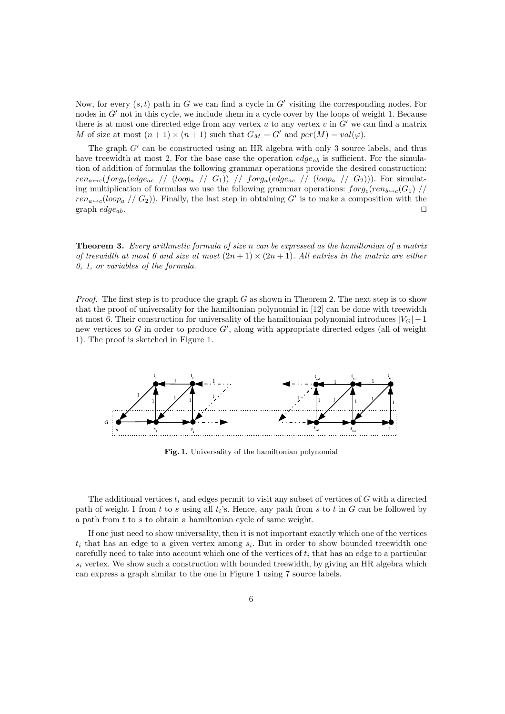Now, for every  $(s, t)$  path in G we can find a cycle in G' visiting the corresponding nodes. For nodes in G' not in this cycle, we include them in a cycle cover by the loops of weight 1. Because there is at most one directed edge from any vertex  $u$  to any vertex  $v$  in  $G'$  we can find a matrix M of size at most  $(n + 1) \times (n + 1)$  such that  $G_M = G'$  and  $per(M) = val(\varphi)$ .

The graph G' can be constructed using an HR algebra with only 3 source labels, and thus have treewidth at most 2. For the base case the operation  $edge_{ab}$  is sufficient. For the simulation of addition of formulas the following grammar operations provide the desired construction:  $ren_{a\leftrightarrow c}(forg_a(edge_{ac} \ // (loop_a \ // G_1)) \ // forg_a(edge_{ac} \ // (loop_a \ // G_2))).$  For simulating multiplication of formulas we use the following grammar operations:  $forg_c(ren_{b \leftrightarrow c}(G_1)$  //  $ren_{a\leftrightarrow c}(loop_{a}$  //  $G_{2})$ ). Finally, the last step in obtaining G' is to make a composition with the graph  $edge_{ab}$ . □

Theorem 3. Every arithmetic formula of size n can be expressed as the hamiltonian of a matrix of treewidth at most 6 and size at most  $(2n+1) \times (2n+1)$ . All entries in the matrix are either 0, 1, or variables of the formula.

*Proof.* The first step is to produce the graph G as shown in Theorem 2. The next step is to show that the proof of universality for the hamiltonian polynomial in [12] can be done with treewidth at most 6. Their construction for universality of the hamiltonian polynomial introduces  $|V_G| - 1$ new vertices to G in order to produce  $G'$ , along with appropriate directed edges (all of weight 1). The proof is sketched in Figure 1.



Fig. 1. Universality of the hamiltonian polynomial

The additional vertices  $t_i$  and edges permit to visit any subset of vertices of G with a directed path of weight 1 from t to s using all  $t_i$ 's. Hence, any path from s to t in G can be followed by a path from t to s to obtain a hamiltonian cycle of same weight.

If one just need to show universality, then it is not important exactly which one of the vertices  $t_i$  that has an edge to a given vertex among  $s_i$ . But in order to show bounded treewidth one carefully need to take into account which one of the vertices of  $t_i$  that has an edge to a particular  $s_i$  vertex. We show such a construction with bounded treewidth, by giving an HR algebra which can express a graph similar to the one in Figure 1 using 7 source labels.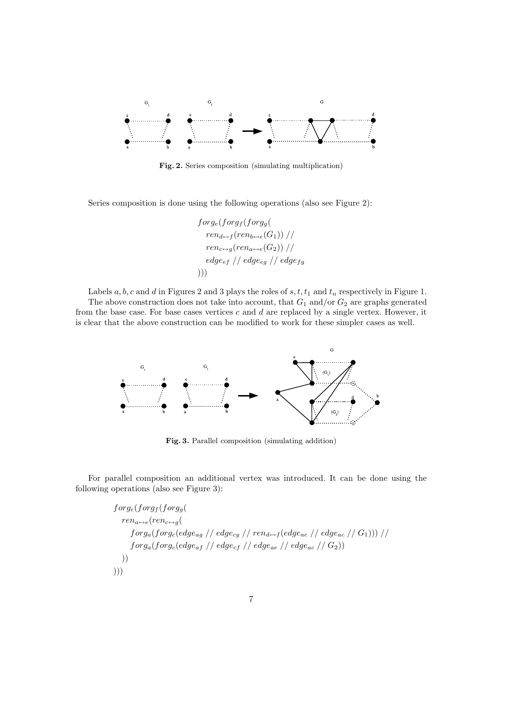

Fig. 2. Series composition (simulating multiplication)

Series composition is done using the following operations (also see Figure 2):

 $forg_e(forg_f(forg_a(f$  $ren_{d \leftrightarrow f}(ren_{b \leftrightarrow e}(G_1))/$  $ren_{c\leftrightarrow a}(ren_{a\leftrightarrow c}(G_2))/l$  $edge_{ef}$  // edge<sub>eg</sub> // edge<sub>fg</sub> )))

Labels  $a, b, c$  and  $d$  in Figures 2 and 3 plays the roles of  $s, t, t_1$  and  $t_n$  respectively in Figure 1.

The above construction does not take into account, that  $G_1$  and/or  $G_2$  are graphs generated from the base case. For base cases vertices  $c$  and  $d$  are replaced by a single vertex. However, it is clear that the above construction can be modified to work for these simpler cases as well.



Fig. 3. Parallel composition (simulating addition)

For parallel composition an additional vertex was introduced. It can be done using the following operations (also see Figure 3):

> $forg_e(forg_f(forg_g($  $ren_{a \leftrightarrow e}(ren_{c \leftrightarrow g})$  $forg_a(forg_c (edge_{ag} / / \text{edge}_{ca} / / \text{real}_{def} (edge_{ae} / / \text{edge}_{ac} / / \text{G}_1)))$  $forg_a(forg_c (edge_a f) / edge_{cf} / edge_{ae} / edge_{ae} / \langle 0.2 \rangle)$ )) )))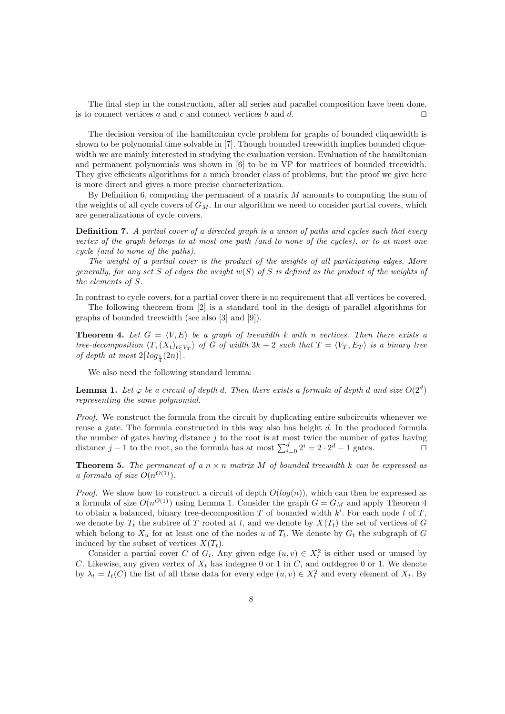The final step in the construction, after all series and parallel composition have been done, is to connect vertices a and c and connect vertices b and d. □

The decision version of the hamiltonian cycle problem for graphs of bounded cliquewidth is shown to be polynomial time solvable in [7]. Though bounded treewidth implies bounded cliquewidth we are mainly interested in studying the evaluation version. Evaluation of the hamiltonian and permanent polynomials was shown in [6] to be in VP for matrices of bounded treewidth. They give efficients algorithms for a much broader class of problems, but the proof we give here is more direct and gives a more precise characterization.

By Definition 6, computing the permanent of a matrix  $M$  amounts to computing the sum of the weights of all cycle covers of  $G_M$ . In our algorithm we need to consider partial covers, which are generalizations of cycle covers.

**Definition 7.** A partial cover of a directed graph is a union of paths and cycles such that every vertex of the graph belongs to at most one path (and to none of the cycles), or to at most one cycle (and to none of the paths).

The weight of a partial cover is the product of the weights of all participating edges. More generally, for any set S of edges the weight  $w(S)$  of S is defined as the product of the weights of the elements of S.

In contrast to cycle covers, for a partial cover there is no requirement that all vertices be covered.

The following theorem from [2] is a standard tool in the design of parallel algorithms for graphs of bounded treewidth (see also [3] and [9]).

**Theorem 4.** Let  $G = \langle V, E \rangle$  be a graph of treewidth k with n vertices. Then there exists a tree-decomposition  $\langle T, (X_t)_{t\in V_T} \rangle$  of G of width 3k + 2 such that  $T = \langle V_T, E_T \rangle$  is a binary tree of depth at most  $2\lceil log_{\frac{5}{4}}(2n)\rceil$ .

We also need the following standard lemma:

**Lemma 1.** Let  $\varphi$  be a circuit of depth d. Then there exists a formula of depth d and size  $O(2^d)$ representing the same polynomial.

Proof. We construct the formula from the circuit by duplicating entire subcircuits whenever we reuse a gate. The formula constructed in this way also has height d. In the produced formula the number of gates having distance j to the root is at most twice the number of gates having distance  $j-1$  to the root, so the formula has at most  $\sum_{i=0}^{d} 2^{i} = 2 \cdot 2^{d} - 1$  gates.  $\Box$ 

**Theorem 5.** The permanent of a  $n \times n$  matrix M of bounded treewidth k can be expressed as a formula of size  $O(n^{O(1)})$ .

*Proof.* We show how to construct a circuit of depth  $O(log(n))$ , which can then be expressed as a formula of size  $O(n^{O(1)})$  using Lemma 1. Consider the graph  $G = G_M$  and apply Theorem 4 to obtain a balanced, binary tree-decomposition  $T$  of bounded width  $k'$ . For each node  $t$  of  $T$ , we denote by  $T_t$  the subtree of T rooted at t, and we denote by  $X(T_t)$  the set of vertices of G which belong to  $X_u$  for at least one of the nodes u of  $T_t$ . We denote by  $G_t$  the subgraph of G induced by the subset of vertices  $X(T_t)$ .

Consider a partial cover C of  $G_t$ . Any given edge  $(u, v) \in X_t^2$  is either used or unused by C. Likewise, any given vertex of  $X_t$  has indegree 0 or 1 in C, and outdegree 0 or 1. We denote by  $\lambda_t = I_t(C)$  the list of all these data for every edge  $(u, v) \in X_t^2$  and every element of  $X_t$ . By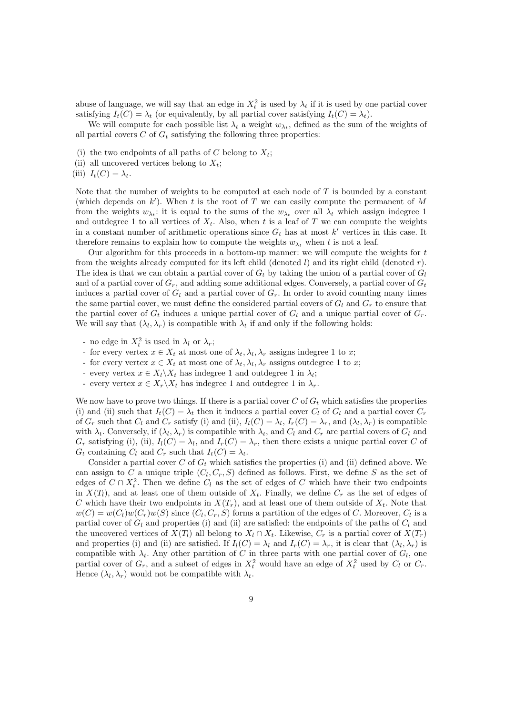abuse of language, we will say that an edge in  $X_t^2$  is used by  $\lambda_t$  if it is used by one partial cover satisfying  $I_t(C) = \lambda_t$  (or equivalently, by all partial cover satisfying  $I_t(C) = \lambda_t$ ).

We will compute for each possible list  $\lambda_t$  a weight  $w_{\lambda_t}$ , defined as the sum of the weights of all partial covers  $C$  of  $G_t$  satisfying the following three properties:

- (i) the two endpoints of all paths of C belong to  $X_t$ ;
- (ii) all uncovered vertices belong to  $X_t$ ;
- (iii)  $I_t(C) = \lambda_t$ .

Note that the number of weights to be computed at each node of  $T$  is bounded by a constant (which depends on  $k'$ ). When t is the root of T we can easily compute the permanent of M from the weights  $w_{\lambda_i}$ : it is equal to the sums of the  $w_{\lambda_i}$  over all  $\lambda_t$  which assign indegree 1 and outdegree 1 to all vertices of  $X_t$ . Also, when t is a leaf of T we can compute the weights in a constant number of arithmetic operations since  $G_t$  has at most k' vertices in this case. It therefore remains to explain how to compute the weights  $w_{\lambda_t}$  when t is not a leaf.

Our algorithm for this proceeds in a bottom-up manner: we will compute the weights for  $t$ from the weights already computed for its left child (denoted  $l$ ) and its right child (denoted  $r$ ). The idea is that we can obtain a partial cover of  $G_t$  by taking the union of a partial cover of  $G_l$ and of a partial cover of  $G_r$ , and adding some additional edges. Conversely, a partial cover of  $G_t$ induces a partial cover of  $G_l$  and a partial cover of  $G_r$ . In order to avoid counting many times the same partial cover, we must define the considered partial covers of  $G_l$  and  $G_r$  to ensure that the partial cover of  $G_t$  induces a unique partial cover of  $G_l$  and a unique partial cover of  $G_r$ . We will say that  $(\lambda_l, \lambda_r)$  is compatible with  $\lambda_t$  if and only if the following holds:

- no edge in  $X_t^2$  is used in  $\lambda_l$  or  $\lambda_r$ ;
- for every vertex  $x \in X_t$  at most one of  $\lambda_t, \lambda_l, \lambda_r$  assigns indegree 1 to x;
- for every vertex  $x \in X_t$  at most one of  $\lambda_t, \lambda_l, \lambda_r$  assigns outdegree 1 to x;
- every vertex  $x \in X_l \backslash X_t$  has indegree 1 and outdegree 1 in  $\lambda_l$ ;
- every vertex  $x \in X_r \backslash X_t$  has indegree 1 and outdegree 1 in  $\lambda_r$ .

We now have to prove two things. If there is a partial cover  $C$  of  $G_t$  which satisfies the properties (i) and (ii) such that  $I_t(C) = \lambda_t$  then it induces a partial cover  $C_l$  of  $G_l$  and a partial cover  $C_r$ of  $G_r$  such that  $C_l$  and  $C_r$  satisfy (i) and (ii),  $I_l(C) = \lambda_l$ ,  $I_r(C) = \lambda_r$ , and  $(\lambda_l, \lambda_r)$  is compatible with  $\lambda_t$ . Conversely, if  $(\lambda_t, \lambda_r)$  is compatible with  $\lambda_t$ , and  $C_l$  and  $C_r$  are partial covers of  $G_l$  and  $G_r$  satisfying (i), (ii),  $I_l(C) = \lambda_l$ , and  $I_r(C) = \lambda_r$ , then there exists a unique partial cover C of  $G_t$  containing  $C_l$  and  $C_r$  such that  $I_t(C) = \lambda_t$ .

Consider a partial cover  $C$  of  $G_t$  which satisfies the properties (i) and (ii) defined above. We can assign to C a unique triple  $(C_l, C_r, S)$  defined as follows. First, we define S as the set of edges of  $C \cap X_t^2$ . Then we define  $C_l$  as the set of edges of C which have their two endpoints in  $X(T_l)$ , and at least one of them outside of  $X_t$ . Finally, we define  $C_r$  as the set of edges of C which have their two endpoints in  $X(T_r)$ , and at least one of them outside of  $X_t$ . Note that  $w(C) = w(C_l)w(C_r)w(S)$  since  $(C_l, C_r, S)$  forms a partition of the edges of C. Moreover,  $C_l$  is a partial cover of  $G_l$  and properties (i) and (ii) are satisfied: the endpoints of the paths of  $C_l$  and the uncovered vertices of  $X(T_l)$  all belong to  $X_l \cap X_t$ . Likewise,  $C_r$  is a partial cover of  $X(T_r)$ and properties (i) and (ii) are satisfied. If  $I_l(C) = \lambda_l$  and  $I_r(C) = \lambda_r$ , it is clear that  $(\lambda_l, \lambda_r)$  is compatible with  $\lambda_t$ . Any other partition of C in three parts with one partial cover of  $G_l$ , one partial cover of  $G_r$ , and a subset of edges in  $X_t^2$  would have an edge of  $X_t^2$  used by  $C_l$  or  $C_r$ . Hence  $(\lambda_l, \lambda_r)$  would not be compatible with  $\lambda_t$ .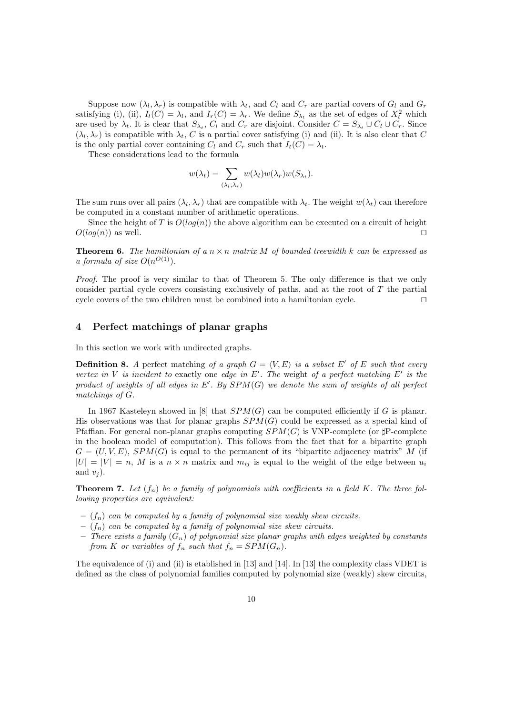Suppose now  $(\lambda_l, \lambda_r)$  is compatible with  $\lambda_t$ , and  $C_l$  and  $C_r$  are partial covers of  $G_l$  and  $G_r$ satisfying (i), (ii),  $I_l(C) = \lambda_l$ , and  $I_r(C) = \lambda_r$ . We define  $S_{\lambda_t}$  as the set of edges of  $X_t^2$  which are used by  $\lambda_t$ . It is clear that  $S_{\lambda_t}$ ,  $C_l$  and  $C_r$  are disjoint. Consider  $C = S_{\lambda_t} \cup C_l \cup C_r$ . Since  $(\lambda_l, \lambda_r)$  is compatible with  $\lambda_t$ , C is a partial cover satisfying (i) and (ii). It is also clear that C is the only partial cover containing  $C_l$  and  $C_r$  such that  $I_t(C) = \lambda_t$ .

These considerations lead to the formula

$$
w(\lambda_t) = \sum_{(\lambda_t, \lambda_r)} w(\lambda_t) w(\lambda_r) w(S_{\lambda_t}).
$$

The sum runs over all pairs  $(\lambda_l, \lambda_r)$  that are compatible with  $\lambda_t$ . The weight  $w(\lambda_t)$  can therefore be computed in a constant number of arithmetic operations.

Since the height of T is  $O(log(n))$  the above algorithm can be executed on a circuit of height  $O(log(n))$  as well. □

**Theorem 6.** The hamiltonian of a  $n \times n$  matrix M of bounded treewidth k can be expressed as a formula of size  $O(n^{O(1)})$ .

Proof. The proof is very similar to that of Theorem 5. The only difference is that we only consider partial cycle covers consisting exclusively of paths, and at the root of T the partial cycle covers of the two children must be combined into a hamiltonian cycle. ⊓⊔

#### 4 Perfect matchings of planar graphs

In this section we work with undirected graphs.

**Definition 8.** A perfect matching of a graph  $G = \langle V, E \rangle$  is a subset E' of E such that every vertex in V is incident to exactly one edge in  $E'$ . The weight of a perfect matching  $E'$  is the product of weights of all edges in  $E'$ . By  $SPM(G)$  we denote the sum of weights of all perfect matchings of G.

In 1967 Kasteleyn showed in  $[8]$  that  $SPM(G)$  can be computed efficiently if G is planar. His observations was that for planar graphs  $SPM(G)$  could be expressed as a special kind of Pfaffian. For general non-planar graphs computing  $SPM(G)$  is VNP-complete (or  $\sharp$ P-complete in the boolean model of computation). This follows from the fact that for a bipartite graph  $G = (U, V, E), SPM(G)$  is equal to the permanent of its "bipartite adjacency matrix" M (if  $|U| = |V| = n$ , M is a  $n \times n$  matrix and  $m_{ij}$  is equal to the weight of the edge between  $u_i$ and  $v_i$ ).

**Theorem 7.** Let  $(f_n)$  be a family of polynomials with coefficients in a field K. The three following properties are equivalent:

- $(f_n)$  can be computed by a family of polynomial size weakly skew circuits.
- $(f_n)$  can be computed by a family of polynomial size skew circuits.
- There exists a family  $(G_n)$  of polynomial size planar graphs with edges weighted by constants from K or variables of  $f_n$  such that  $f_n = SPM(G_n)$ .

The equivalence of (i) and (ii) is etablished in [13] and [14]. In [13] the complexity class VDET is defined as the class of polynomial families computed by polynomial size (weakly) skew circuits,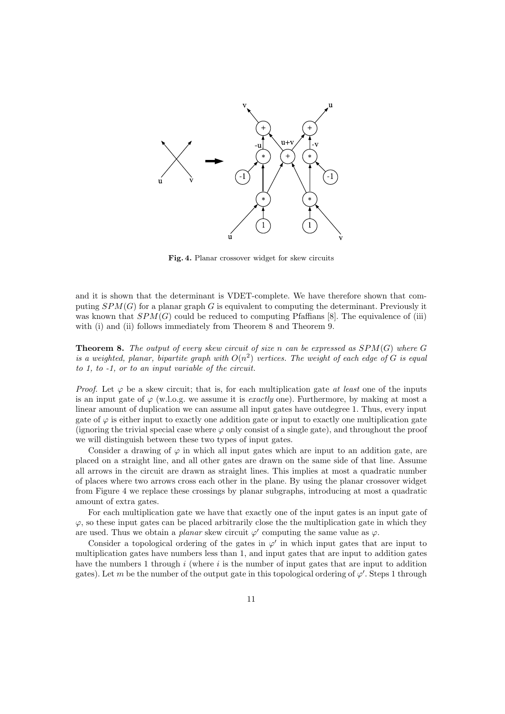

Fig. 4. Planar crossover widget for skew circuits

and it is shown that the determinant is VDET-complete. We have therefore shown that computing  $SPM(G)$  for a planar graph G is equivalent to computing the determinant. Previously it was known that  $SPM(G)$  could be reduced to computing Pfaffians [8]. The equivalence of (iii) with (i) and (ii) follows immediately from Theorem 8 and Theorem 9.

**Theorem 8.** The output of every skew circuit of size n can be expressed as  $SPM(G)$  where G is a weighted, planar, bipartite graph with  $O(n^2)$  vertices. The weight of each edge of G is equal to 1, to -1, or to an input variable of the circuit.

*Proof.* Let  $\varphi$  be a skew circuit; that is, for each multiplication gate at least one of the inputs is an input gate of  $\varphi$  (w.l.o.g. we assume it is *exactly* one). Furthermore, by making at most a linear amount of duplication we can assume all input gates have outdegree 1. Thus, every input gate of  $\varphi$  is either input to exactly one addition gate or input to exactly one multiplication gate (ignoring the trivial special case where  $\varphi$  only consist of a single gate), and throughout the proof we will distinguish between these two types of input gates.

Consider a drawing of  $\varphi$  in which all input gates which are input to an addition gate, are placed on a straight line, and all other gates are drawn on the same side of that line. Assume all arrows in the circuit are drawn as straight lines. This implies at most a quadratic number of places where two arrows cross each other in the plane. By using the planar crossover widget from Figure 4 we replace these crossings by planar subgraphs, introducing at most a quadratic amount of extra gates.

For each multiplication gate we have that exactly one of the input gates is an input gate of  $\varphi$ , so these input gates can be placed arbitrarily close the the multiplication gate in which they are used. Thus we obtain a *planar* skew circuit  $\varphi'$  computing the same value as  $\varphi$ .

Consider a topological ordering of the gates in  $\varphi'$  in which input gates that are input to multiplication gates have numbers less than 1, and input gates that are input to addition gates have the numbers 1 through  $i$  (where  $i$  is the number of input gates that are input to addition gates). Let m be the number of the output gate in this topological ordering of  $\varphi'$ . Steps 1 through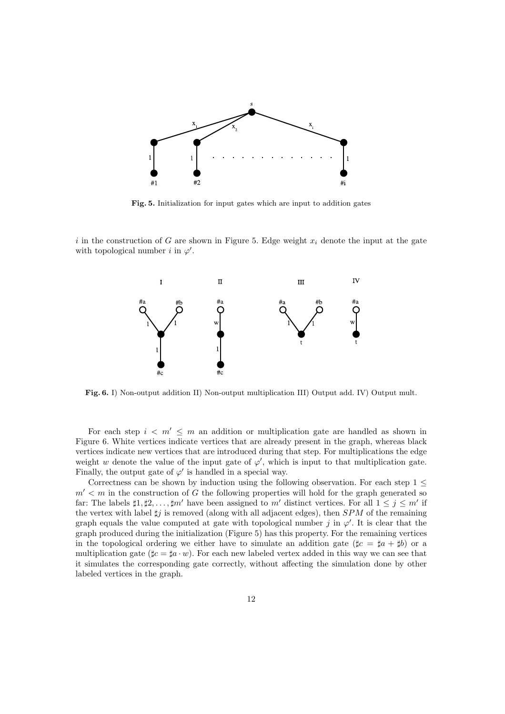

Fig. 5. Initialization for input gates which are input to addition gates

i in the construction of G are shown in Figure 5. Edge weight  $x_i$  denote the input at the gate with topological number i in  $\varphi'$ .



Fig. 6. I) Non-output addition II) Non-output multiplication III) Output add. IV) Output mult.

For each step  $i < m' \leq m$  an addition or multiplication gate are handled as shown in Figure 6. White vertices indicate vertices that are already present in the graph, whereas black vertices indicate new vertices that are introduced during that step. For multiplications the edge weight w denote the value of the input gate of  $\varphi'$ , which is input to that multiplication gate. Finally, the output gate of  $\varphi'$  is handled in a special way.

Correctness can be shown by induction using the following observation. For each step  $1 \leq$  $m' < m$  in the construction of G the following properties will hold for the graph generated so far: The labels  $\sharp 1, \sharp 2, \ldots, \sharp m'$  have been assigned to m' distinct vertices. For all  $1 \leq j \leq m'$  if the vertex with label  $\sharp j$  is removed (along with all adjacent edges), then SPM of the remaining graph equals the value computed at gate with topological number j in  $\varphi'$ . It is clear that the graph produced during the initialization (Figure 5) has this property. For the remaining vertices in the topological ordering we either have to simulate an addition gate ( $\sharp c = \sharp a + \sharp b$ ) or a multiplication gate  $(\sharp c = \sharp a \cdot w)$ . For each new labeled vertex added in this way we can see that it simulates the corresponding gate correctly, without affecting the simulation done by other labeled vertices in the graph.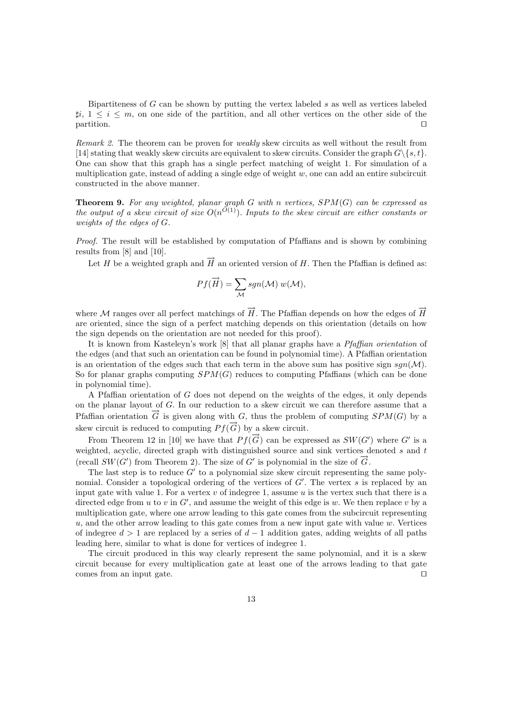Bipartiteness of  $G$  can be shown by putting the vertex labeled  $s$  as well as vertices labeled  $\sharp i, 1 \leq i \leq m$ , on one side of the partition, and all other vertices on the other side of the partition. ⊓⊔

Remark 2. The theorem can be proven for *weakly* skew circuits as well without the result from [14] stating that weakly skew circuits are equivalent to skew circuits. Consider the graph  $G\backslash\{s,t\}$ . One can show that this graph has a single perfect matching of weight 1. For simulation of a multiplication gate, instead of adding a single edge of weight  $w$ , one can add an entire subcircuit constructed in the above manner.

**Theorem 9.** For any weighted, planar graph G with n vertices,  $SPM(G)$  can be expressed as the output of a skew circuit of size  $O(n^{O(1)})$ . Inputs to the skew circuit are either constants or weights of the edges of G.

Proof. The result will be established by computation of Pfaffians and is shown by combining results from [8] and [10].

Let H be a weighted graph and  $\vec{H}$  an oriented version of H. Then the Pfaffian is defined as:

$$
Pf(\overrightarrow{H}) = \sum_{\mathcal{M}} sgn(\mathcal{M}) w(\mathcal{M}),
$$

where M ranges over all perfect matchings of  $\overrightarrow{H}$ . The Pfaffian depends on how the edges of  $\overrightarrow{H}$ are oriented, since the sign of a perfect matching depends on this orientation (details on how the sign depends on the orientation are not needed for this proof).

It is known from Kasteleyn's work [8] that all planar graphs have a Pfaffian orientation of the edges (and that such an orientation can be found in polynomial time). A Pfaffian orientation is an orientation of the edges such that each term in the above sum has positive sign  $sgn(\mathcal{M})$ . So for planar graphs computing  $SPM(G)$  reduces to computing Pfaffians (which can be done in polynomial time).

A Pfaffian orientation of G does not depend on the weights of the edges, it only depends on the planar layout of G. In our reduction to a skew circuit we can therefore assume that a Pfaffian orientation  $\vec{G}$  is given along with G, thus the problem of computing  $SPM(G)$  by a skew circuit is reduced to computing  $P f(\vec{G})$  by a skew circuit.

From Theorem 12 in [10] we have that  $Pf(\vec{G})$  can be expressed as  $SW(G')$  where G' is a weighted, acyclic, directed graph with distinguished source and sink vertices denoted  $s$  and  $t$ (recall  $SW(G')$  from Theorem 2). The size of G' is polynomial in the size of  $\overrightarrow{G}$ .

The last step is to reduce  $G'$  to a polynomial size skew circuit representing the same polynomial. Consider a topological ordering of the vertices of G'. The vertex s is replaced by an input gate with value 1. For a vertex  $v$  of indegree 1, assume  $u$  is the vertex such that there is a directed edge from  $u$  to  $v$  in  $G'$ , and assume the weight of this edge is  $w$ . We then replace  $v$  by a multiplication gate, where one arrow leading to this gate comes from the subcircuit representing  $u$ , and the other arrow leading to this gate comes from a new input gate with value  $w$ . Vertices of indegree  $d > 1$  are replaced by a series of  $d - 1$  addition gates, adding weights of all paths leading here, similar to what is done for vertices of indegree 1.

The circuit produced in this way clearly represent the same polynomial, and it is a skew circuit because for every multiplication gate at least one of the arrows leading to that gate comes from an input gate. ⊓⊔